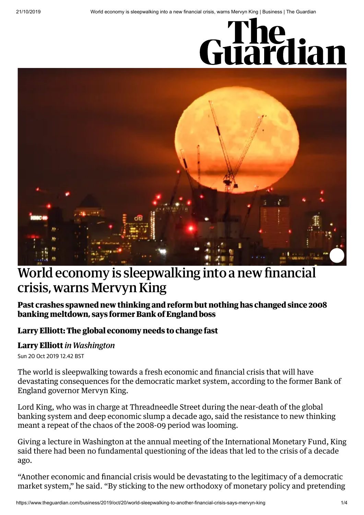# Guardian



## World economy is sleepwalking into a new financial crisis, warns Mervyn King

#### **Past crashes spawned new thinking and reform but nothing has changed since 2008 banking meltdown, says former Bank of England boss**

#### **Larry Elliott: The global [economy](https://www.theguardian.com/business/2019/oct/20/the-sluggish-global-economy-needs-to-reform-and-fast) needs to change fast**

#### **Larry [Elliott](https://www.theguardian.com/profile/larryelliott)** *in Washington*

Sun 20 Oct 2019 12.42 BST

The world is sleepwalking towards a fresh economic and financial crisis that will have devastating [consequences](https://www.theguardian.com/business/bankofenglandgovernor) for the democratic market system, according to the former Bank of England governor Mervyn King.

Lord King, who was in charge at [Threadneedle](https://www.theguardian.com/business/financial-crisis) Street during the near-death of the global banking system and deep economic slump a decade ago, said the resistance to new thinking meant a repeat of the chaos of the 2008-09 period was looming.

Giving a lecture in Washington at the annual meeting of the [International](https://www.theguardian.com/business/imf) Monetary Fund, King said there had been no fundamental questioning of the ideas that led to the crisis of a decade ago.

"Another economic and financial crisis would be devastating to the legitimacy of a democratic market system," he said. "By sticking to the new orthodoxy of monetary policy and pretending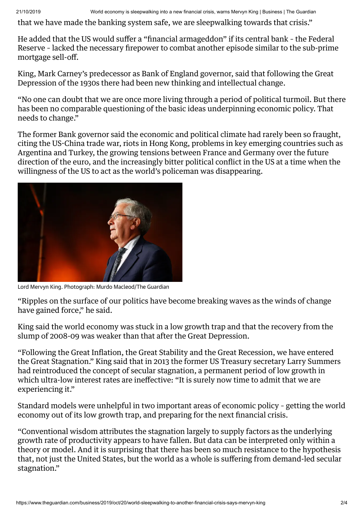21/10/2019 World economy is sleepwalking into a new financial crisis, warns Mervyn King | Business | The Guardian

that we have made the banking system safe, we are sleepwalking towards that crisis."

He added that the US would suffer a "financial [armageddon"](https://www.theguardian.com/business/federal-reserve) if its central bank – the Federal Reserve – lacked the necessary firepower to combat another episode similar to the sub-prime mortgage sell-off.

[King](https://www.theguardian.com/business/mervyn-king), Mark Carney's predecessor as Bank of England governor, said that following the Great Depression of the 1930s there had been new thinking and intellectual change.

"No one can doubt that we are once more living through a period of political turmoil. But there has been no comparable questioning of the basic ideas underpinning economic policy. That needs to change."

The former Bank governor said the economic and political climate had rarely been so fraught, citing the US-China trade war, riots in Hong Kong, problems in key emerging countries such as Argentina and Turkey, the growing tensions between France and Germany over the future direction of the euro, and the increasingly bitter political conflict in the US at a time when the willingness of the US to act as the world's policeman was disappearing.



Lord Mervyn King. Photograph: Murdo Macleod/The Guardian

"Ripples on the surface of our politics have become breaking waves as the winds of change have gained force," he said.

King said the world economy was stuck in a low growth trap and that the recovery from the slump of 2008-09 was weaker than that after the Great Depression.

"Following the Great Inflation, the Great Stability and the Great Recession, we have entered the Great Stagnation." King said that in 2013 the former US Treasury secretary Larry Summers had reintroduced the concept of secular stagnation, a permanent period of low growth in which ultra-low interest rates are ineffective: "It is surely now time to admit that we are experiencing it."

Standard models were unhelpful in two important areas of economic policy – getting the world economy out of its low growth trap, and preparing for the next financial crisis.

"Conventional wisdom attributes the stagnation largely to supply factors as the underlying growth rate of productivity appears to have fallen. But data can be interpreted only within a theory or model. And it is surprising that there has been so much resistance to the hypothesis that, not just the United States, but the world as a whole is suffering from demand-led secular stagnation."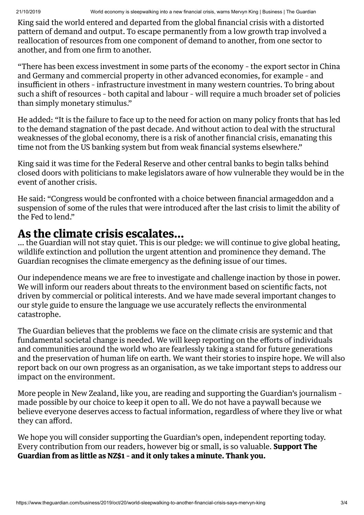King said the world entered and departed from the global financial crisis with a distorted pattern of demand and output. To escape permanently from a low growth trap involved a reallocation of resources from one component of demand to another, from one sector to another, and from one firm to another.

"There has been excess investment in some parts of the economy – the export sector in China and Germany and commercial property in other advanced economies, for example – and insufficient in others – infrastructure investment in many western countries. To bring about such a shift of resources – both capital and labour – will require a much broader set of policies than simply monetary stimulus."

He added: "It is the failure to face up to the need for action on many policy fronts that has led to the demand stagnation of the past decade. And without action to deal with the structural weaknesses of the global economy, there is a risk of another financial crisis, emanating this time not from the US banking system but from weak financial systems elsewhere."

King said it was time for the Federal Reserve and other central banks to begin talks behind closed doors with politicians to make legislators aware of how vulnerable they would be in the event of another crisis.

He said: "Congress would be confronted with a choice between financial armageddon and a suspension of some of the rules that were introduced after the last crisis to limit the ability of the Fed to lend."

### **As the climate crisis escalates…**

… the Guardian will not stay quiet. This is our pledge: we will continue to give global heating, wildlife extinction and pollution the urgent attention and prominence they demand. The Guardian recognises the climate emergency as the defining issue of our times.

Our independence means we are free to investigate and challenge inaction by those in power. We will inform our readers about threats to the environment based on scientific facts, not driven by commercial or political interests. And we have made several important changes to our style guide to ensure the language we use accurately reflects the environmental catastrophe.

The Guardian believes that the problems we face on the climate crisis are systemic and that fundamental societal change is needed. We will keep reporting on the efforts of individuals and communities around the world who are fearlessly taking a stand for future generations and the preservation of human life on earth. We want their stories to inspire hope. We will also report back on our own progress as an organisation, as we take important steps to address our impact on the environment.

More people in New Zealand, like you, are reading and supporting the Guardian's journalism – made possible by our choice to keep it open to all. We do not have a paywall because we believe everyone deserves access to factual information, regardless of where they live or what they can afford.

We hope you will consider supporting the Guardian's open, independent reporting today. Every contribution from our readers, however big or small, is so valuable. **Support The Guardian from as little as NZ\$1 – and it only takes a minute. Thank you.**